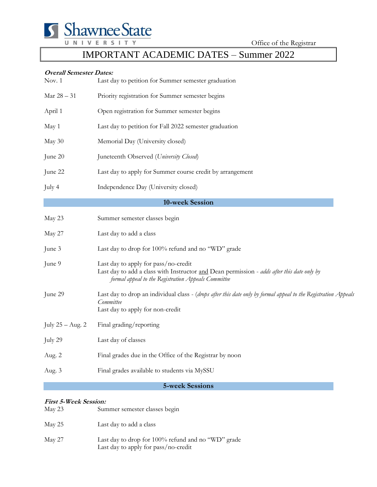

Office of the Registrar

# IMPORTANT ACADEMIC DATES – Summer 2022

#### **Overall Semester Dates:**

| Nov. 1           | Last day to petition for Summer semester graduation                                                                                                                                       |
|------------------|-------------------------------------------------------------------------------------------------------------------------------------------------------------------------------------------|
| Mar $28-31\,$    | Priority registration for Summer semester begins                                                                                                                                          |
| April 1          | Open registration for Summer semester begins                                                                                                                                              |
| May 1            | Last day to petition for Fall 2022 semester graduation                                                                                                                                    |
| May 30           | Memorial Day (University closed)                                                                                                                                                          |
| June 20          | Juneteenth Observed (University Closed)                                                                                                                                                   |
| June 22          | Last day to apply for Summer course credit by arrangement                                                                                                                                 |
| July 4           | Independence Day (University closed)                                                                                                                                                      |
|                  | 10-week Session                                                                                                                                                                           |
| May 23           | Summer semester classes begin                                                                                                                                                             |
| May 27           | Last day to add a class                                                                                                                                                                   |
| June 3           | Last day to drop for 100% refund and no "WD" grade                                                                                                                                        |
| June 9           | Last day to apply for pass/no-credit<br>Last day to add a class with Instructor and Dean permission - adds after this date only by<br>formal appeal to the Registration Appeals Committee |
| June 29          | Last day to drop an individual class - (drops after this date only by formal appeal to the Registration Appeals<br>Committee<br>Last day to apply for non-credit                          |
| July 25 - Aug. 2 | Final grading/reporting                                                                                                                                                                   |
| July 29          | Last day of classes                                                                                                                                                                       |
| Aug. 2           | Final grades due in the Office of the Registrar by noon                                                                                                                                   |
| Aug. 3           | Final grades available to students via MySSU                                                                                                                                              |

#### **5-week Sessions**

#### **First 5-Week Session:**

| May 23 | Summer semester classes begin                                                              |
|--------|--------------------------------------------------------------------------------------------|
| May 25 | Last day to add a class                                                                    |
| May 27 | Last day to drop for 100% refund and no "WD" grade<br>Last day to apply for pass/no-credit |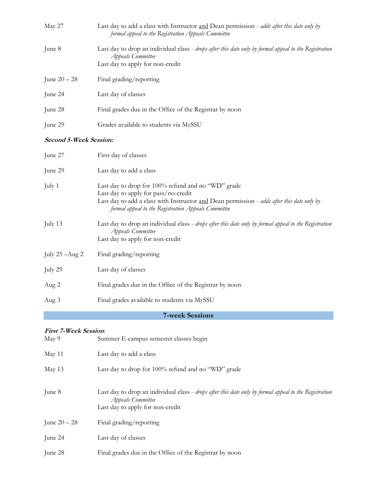| May 27                        | Last day to add a class with Instructor and Dean permission - adds after this date only by<br>formal appeal to the Registration Appeals Committee                                                                                               |  |
|-------------------------------|-------------------------------------------------------------------------------------------------------------------------------------------------------------------------------------------------------------------------------------------------|--|
| June 8                        | Last day to drop an individual class - drops after this date only by formal appeal to the Registration<br><b>Appeals Committee</b><br>Last day to apply for non-credit                                                                          |  |
| June $20 - 28$                | Final grading/reporting                                                                                                                                                                                                                         |  |
| June 24                       | Last day of classes                                                                                                                                                                                                                             |  |
| June 28                       | Final grades due in the Office of the Registrar by noon                                                                                                                                                                                         |  |
| June 29                       | Grades available to students via MySSU                                                                                                                                                                                                          |  |
| <b>Second 5-Week Session:</b> |                                                                                                                                                                                                                                                 |  |
| June 27                       | First day of classes                                                                                                                                                                                                                            |  |
| June 29                       | Last day to add a class                                                                                                                                                                                                                         |  |
| July 1                        | Last day to drop for 100% refund and no "WD" grade<br>Last day to apply for pass/no-credit<br>Last day to add a class with Instructor and Dean permission - adds after this date only by<br>formal appeal to the Registration Appeals Committee |  |
| July 13                       | Last day to drop an individual class - drops after this date only by formal appeal to the Registration<br><b>Appeals Committee</b><br>Last day to apply for non-credit                                                                          |  |
| July $25 - Aug 2$             | Final grading/reporting                                                                                                                                                                                                                         |  |
| July 29                       | Last day of classes                                                                                                                                                                                                                             |  |

Aug 2 Final grades due in the Office of the Registrar by noon

Aug 3 Final grades available to students via MySSU

## **7-week Sessions**

### **First 7-Week Session**:

| May 9          | Summer E-campus semester classes begin                                                                                                                          |
|----------------|-----------------------------------------------------------------------------------------------------------------------------------------------------------------|
| May 11         | Last day to add a class                                                                                                                                         |
| May 13         | Last day to drop for 100% refund and no "WD" grade                                                                                                              |
| June 8         | Last day to drop an individual class - drops after this date only by formal appeal to the Registration<br>Appeals Committee<br>Last day to apply for non-credit |
| June $20 - 28$ | Final grading/reporting                                                                                                                                         |
| June 24        | Last day of classes                                                                                                                                             |
| June 28        | Final grades due in the Office of the Registrar by noon                                                                                                         |